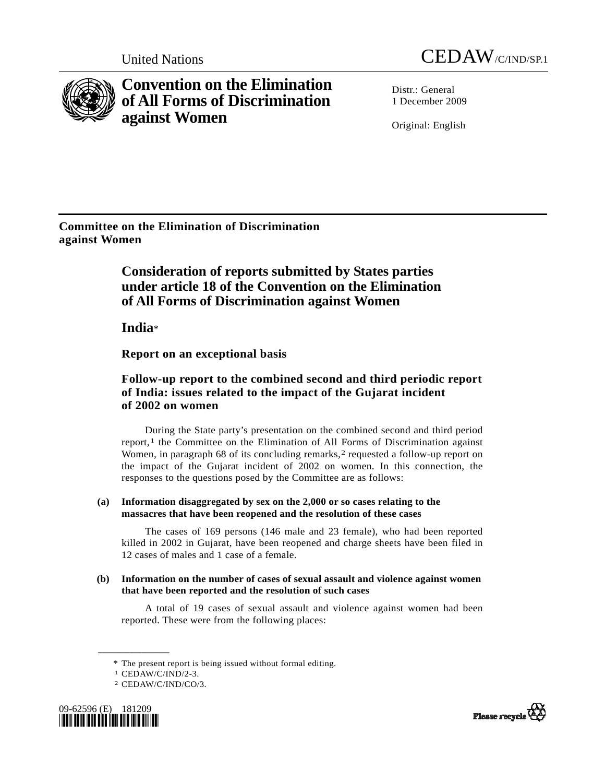



**Convention on the Elimination of All Forms of Discrimination against Women** 

Distr · General 1 December 2009

Original: English

**Committee on the Elimination of Discrimination against Women** 

# **Consideration of reports submitted by States parties under article 18 of the Convention on the Elimination of All Forms of Discrimination against Women**

 **India**\*

 **Report on an exceptional basis** 

# **Follow-up report to the combined second and third periodic report of India: issues related to the impact of the Gujarat incident of 2002 on women**

 During the State party's presentation on the combined second and third period report, $<sup>1</sup>$  $<sup>1</sup>$  $<sup>1</sup>$  the Committee on the Elimination of All Forms of Discrimination against</sup> Women, in paragraph 68 of its concluding remarks,<sup>2</sup> requested a follow-up report on the impact of the Gujarat incident of 2002 on women. In this connection, the responses to the questions posed by the Committee are as follows:

# **(a) Information disaggregated by sex on the 2,000 or so cases relating to the massacres that have been reopened and the resolution of these cases**

 The cases of 169 persons (146 male and 23 female), who had been reported killed in 2002 in Gujarat, have been reopened and charge sheets have been filed in 12 cases of males and 1 case of a female.

# **(b) Information on the number of cases of sexual assault and violence against women that have been reported and the resolution of such cases**

 A total of 19 cases of sexual assault and violence against women had been reported. These were from the following places:

**\_\_\_\_\_\_\_\_\_\_\_\_\_\_\_\_\_\_** 

<span id="page-0-1"></span><span id="page-0-0"></span><sup>2</sup> CEDAW/C/IND/CO/3.





 <sup>\*</sup> The present report is being issued without formal editing. 1 CEDAW/C/IND/2-3.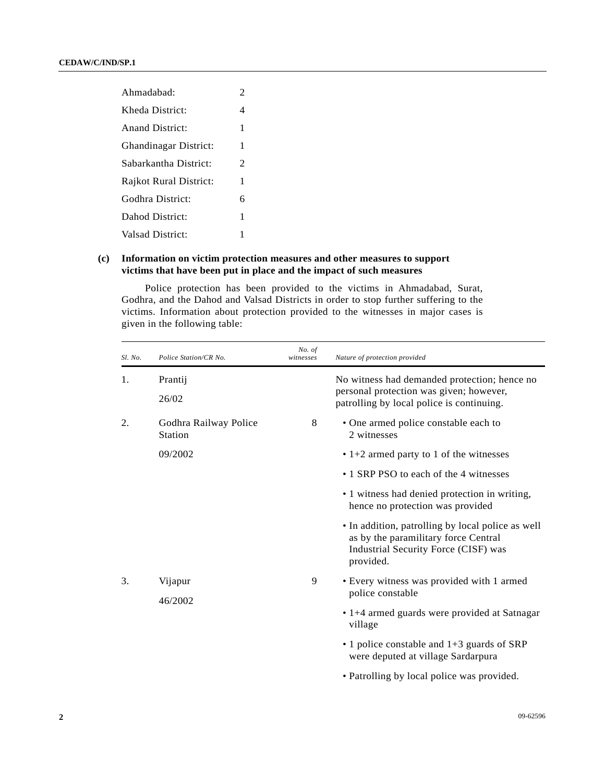| Ahmadabad:                   | 2 |
|------------------------------|---|
| Kheda District:              | 4 |
| Anand District:              | 1 |
| <b>Ghandinagar District:</b> | 1 |
| Sabarkantha District:        | 2 |
| Rajkot Rural District:       | 1 |
| Godhra District:             | 6 |
| Dahod District:              | 1 |
| <b>Valsad District:</b>      | 1 |

# **(c) Information on victim protection measures and other measures to support victims that have been put in place and the impact of such measures**

 Police protection has been provided to the victims in Ahmadabad, Surat, Godhra, and the Dahod and Valsad Districts in order to stop further suffering to the victims. Information about protection provided to the witnesses in major cases is given in the following table:

| Sl. No. | Police Station/CR No.                   | No. of<br>witnesses | Nature of protection provided                                                                                                                  |  |  |
|---------|-----------------------------------------|---------------------|------------------------------------------------------------------------------------------------------------------------------------------------|--|--|
| 1.      | Prantij                                 |                     | No witness had demanded protection; hence no<br>personal protection was given; however,                                                        |  |  |
|         | 26/02                                   |                     | patrolling by local police is continuing.                                                                                                      |  |  |
| 2.      | Godhra Railway Police<br><b>Station</b> | 8                   | • One armed police constable each to<br>2 witnesses                                                                                            |  |  |
|         | 09/2002                                 |                     | $\cdot$ 1+2 armed party to 1 of the witnesses                                                                                                  |  |  |
|         |                                         |                     | • 1 SRP PSO to each of the 4 witnesses                                                                                                         |  |  |
|         |                                         |                     | • 1 witness had denied protection in writing,<br>hence no protection was provided                                                              |  |  |
|         |                                         |                     | • In addition, patrolling by local police as well<br>as by the paramilitary force Central<br>Industrial Security Force (CISF) was<br>provided. |  |  |
| 3.      | Vijapur                                 | 9                   | • Every witness was provided with 1 armed                                                                                                      |  |  |
|         | 46/2002                                 |                     | police constable                                                                                                                               |  |  |
|         |                                         |                     | • 1+4 armed guards were provided at Satnagar<br>village                                                                                        |  |  |
|         |                                         |                     | $\cdot$ 1 police constable and 1+3 guards of SRP<br>were deputed at village Sardarpura                                                         |  |  |
|         |                                         |                     | • Patrolling by local police was provided.                                                                                                     |  |  |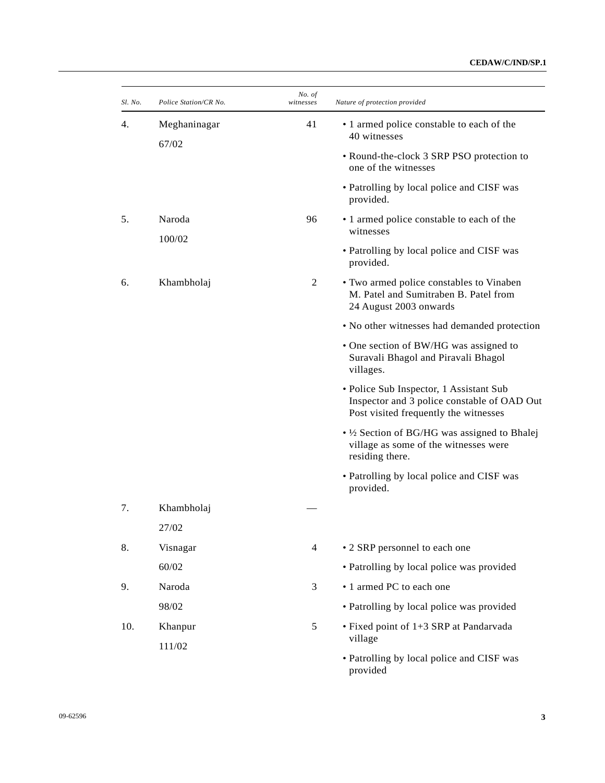## **CEDAW/C/IND/SP.1**

| Sl. No. | Police Station/CR No. | No. of<br>witnesses | Nature of protection provided                                                                                                   |
|---------|-----------------------|---------------------|---------------------------------------------------------------------------------------------------------------------------------|
| 4.      | Meghaninagar          | 41                  | • 1 armed police constable to each of the<br>40 witnesses                                                                       |
|         | 67/02                 |                     | • Round-the-clock 3 SRP PSO protection to<br>one of the witnesses                                                               |
|         |                       |                     | • Patrolling by local police and CISF was<br>provided.                                                                          |
| 5.      | Naroda                | 96                  | • 1 armed police constable to each of the<br>witnesses                                                                          |
|         | 100/02                |                     | • Patrolling by local police and CISF was<br>provided.                                                                          |
| 6.      | Khambholaj            | $\overline{c}$      | • Two armed police constables to Vinaben<br>M. Patel and Sumitraben B. Patel from<br>24 August 2003 onwards                     |
|         |                       |                     | • No other witnesses had demanded protection                                                                                    |
|         |                       |                     | • One section of BW/HG was assigned to<br>Suravali Bhagol and Piravali Bhagol<br>villages.                                      |
|         |                       |                     | • Police Sub Inspector, 1 Assistant Sub<br>Inspector and 3 police constable of OAD Out<br>Post visited frequently the witnesses |
|         |                       |                     | • 1/2 Section of BG/HG was assigned to Bhalej<br>village as some of the witnesses were<br>residing there.                       |
|         |                       |                     | • Patrolling by local police and CISF was<br>provided.                                                                          |
| 7.      | Khambholaj            |                     |                                                                                                                                 |
|         | 27/02                 |                     |                                                                                                                                 |
| 8.      | Visnagar              | $\overline{4}$      | • 2 SRP personnel to each one                                                                                                   |
|         | 60/02                 |                     | • Patrolling by local police was provided                                                                                       |
| 9.      | Naroda                | 3                   | • 1 armed PC to each one                                                                                                        |
|         | 98/02                 |                     | • Patrolling by local police was provided                                                                                       |
| 10.     | Khanpur<br>111/02     | 5                   | • Fixed point of 1+3 SRP at Pandarvada<br>village                                                                               |
|         |                       |                     | • Patrolling by local police and CISF was<br>provided                                                                           |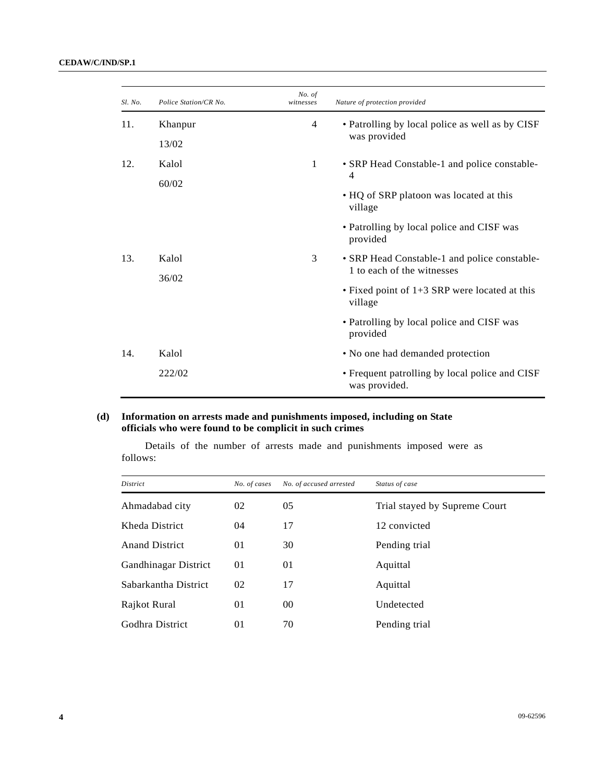| Sl. No. | Police Station/CR No. | No. of<br>witnesses                          | Nature of protection provided                                    |
|---------|-----------------------|----------------------------------------------|------------------------------------------------------------------|
| 11.     | Khanpur               | 4                                            | • Patrolling by local police as well as by CISF                  |
|         | 13/02                 |                                              | was provided                                                     |
| 12.     | Kalol                 | 1                                            | • SRP Head Constable-1 and police constable-                     |
|         | 60/02                 |                                              | 4                                                                |
|         |                       |                                              | • HQ of SRP platoon was located at this<br>village               |
|         |                       |                                              | • Patrolling by local police and CISF was<br>provided            |
| 13.     | 3<br>Kalol            | • SRP Head Constable-1 and police constable- |                                                                  |
|         | 36/02                 |                                              | 1 to each of the witnesses                                       |
|         |                       |                                              | $\bullet$ Fixed point of 1+3 SRP were located at this<br>village |
|         |                       |                                              | • Patrolling by local police and CISF was<br>provided            |
| 14.     | Kalol                 |                                              | • No one had demanded protection                                 |
|         | 222/02                |                                              | • Frequent patrolling by local police and CISF<br>was provided.  |

# **(d) Information on arrests made and punishments imposed, including on State officials who were found to be complicit in such crimes**

 Details of the number of arrests made and punishments imposed were as follows:

| District              | No. of cases | No. of accused arrested | Status of case                |
|-----------------------|--------------|-------------------------|-------------------------------|
| Ahmadabad city        | 02           | 05                      | Trial stayed by Supreme Court |
| Kheda District        | 04           | 17                      | 12 convicted                  |
| <b>Anand District</b> | 01           | 30                      | Pending trial                 |
| Gandhinagar District  | 01           | 01                      | Aquittal                      |
| Sabarkantha District  | 02           | 17                      | Aquittal                      |
| Rajkot Rural          | 01           | 00                      | Undetected                    |
| Godhra District       | 01           | 70                      | Pending trial                 |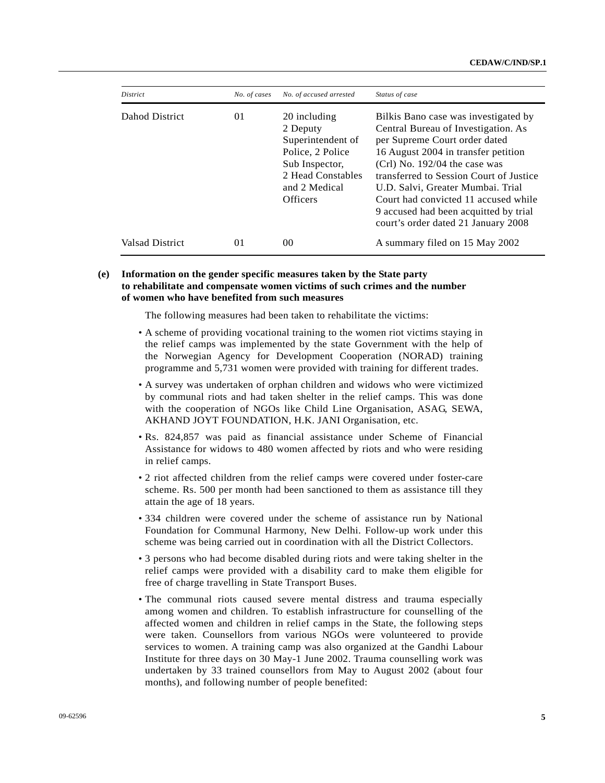| <i>District</i> | No. of cases | No. of accused arrested                                                                                                                      | Status of case                                                                                                                                                                                                                                                                                                                                                                                |
|-----------------|--------------|----------------------------------------------------------------------------------------------------------------------------------------------|-----------------------------------------------------------------------------------------------------------------------------------------------------------------------------------------------------------------------------------------------------------------------------------------------------------------------------------------------------------------------------------------------|
| Dahod District  | 01           | 20 including<br>2 Deputy<br>Superintendent of<br>Police, 2 Police<br>Sub Inspector,<br>2 Head Constables<br>and 2 Medical<br><b>Officers</b> | Bilkis Bano case was investigated by<br>Central Bureau of Investigation. As<br>per Supreme Court order dated<br>16 August 2004 in transfer petition<br>$(Cr)$ No. 192/04 the case was<br>transferred to Session Court of Justice<br>U.D. Salvi, Greater Mumbai. Trial<br>Court had convicted 11 accused while<br>9 accused had been acquitted by trial<br>court's order dated 21 January 2008 |
| Valsad District | 01           | 00                                                                                                                                           | A summary filed on 15 May 2002                                                                                                                                                                                                                                                                                                                                                                |

## **(e) Information on the gender specific measures taken by the State party to rehabilitate and compensate women victims of such crimes and the number of women who have benefited from such measures**

The following measures had been taken to rehabilitate the victims:

- A scheme of providing vocational training to the women riot victims staying in the relief camps was implemented by the state Government with the help of the Norwegian Agency for Development Cooperation (NORAD) training programme and 5,731 women were provided with training for different trades.
- A survey was undertaken of orphan children and widows who were victimized by communal riots and had taken shelter in the relief camps. This was done with the cooperation of NGOs like Child Line Organisation, ASAG, SEWA, AKHAND JOYT FOUNDATION, H.K. JANI Organisation, etc.
- Rs. 824,857 was paid as financial assistance under Scheme of Financial Assistance for widows to 480 women affected by riots and who were residing in relief camps.
- 2 riot affected children from the relief camps were covered under foster-care scheme. Rs. 500 per month had been sanctioned to them as assistance till they attain the age of 18 years.
- 334 children were covered under the scheme of assistance run by National Foundation for Communal Harmony, New Delhi. Follow-up work under this scheme was being carried out in coordination with all the District Collectors.
- 3 persons who had become disabled during riots and were taking shelter in the relief camps were provided with a disability card to make them eligible for free of charge travelling in State Transport Buses.
- The communal riots caused severe mental distress and trauma especially among women and children. To establish infrastructure for counselling of the affected women and children in relief camps in the State, the following steps were taken. Counsellors from various NGOs were volunteered to provide services to women. A training camp was also organized at the Gandhi Labour Institute for three days on 30 May-1 June 2002. Trauma counselling work was undertaken by 33 trained counsellors from May to August 2002 (about four months), and following number of people benefited: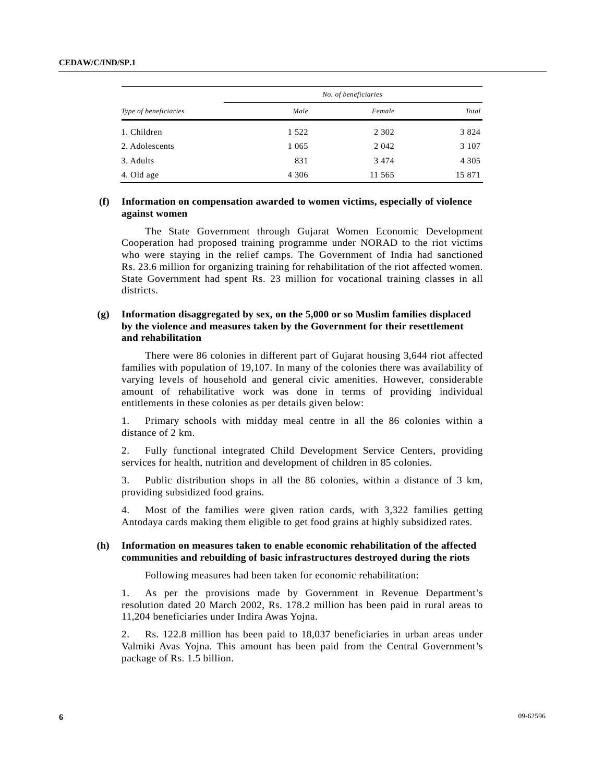#### **CEDAW/C/IND/SP.1**

|                       | No. of beneficiaries |         |         |  |
|-----------------------|----------------------|---------|---------|--|
| Type of beneficiaries | Male                 | Female  | Total   |  |
| 1. Children           | 1 5 2 2              | 2 3 0 2 | 3 8 2 4 |  |
| 2. Adolescents        | 1 0 6 5              | 2 0 4 2 | 3 1 0 7 |  |
| 3. Adults             | 831                  | 3474    | 4 3 0 5 |  |
| 4. Old age            | 4 3 0 6              | 11 565  | 15 871  |  |

## **(f) Information on compensation awarded to women victims, especially of violence against women**

 The State Government through Gujarat Women Economic Development Cooperation had proposed training programme under NORAD to the riot victims who were staying in the relief camps. The Government of India had sanctioned Rs. 23.6 million for organizing training for rehabilitation of the riot affected women. State Government had spent Rs. 23 million for vocational training classes in all districts.

## **(g) Information disaggregated by sex, on the 5,000 or so Muslim families displaced by the violence and measures taken by the Government for their resettlement and rehabilitation**

 There were 86 colonies in different part of Gujarat housing 3,644 riot affected families with population of 19,107. In many of the colonies there was availability of varying levels of household and general civic amenities. However, considerable amount of rehabilitative work was done in terms of providing individual entitlements in these colonies as per details given below:

1. Primary schools with midday meal centre in all the 86 colonies within a distance of 2 km.

2. Fully functional integrated Child Development Service Centers, providing services for health, nutrition and development of children in 85 colonies.

3. Public distribution shops in all the 86 colonies, within a distance of 3 km, providing subsidized food grains.

4. Most of the families were given ration cards, with 3,322 families getting Antodaya cards making them eligible to get food grains at highly subsidized rates.

#### **(h) Information on measures taken to enable economic rehabilitation of the affected communities and rebuilding of basic infrastructures destroyed during the riots**

Following measures had been taken for economic rehabilitation:

1. As per the provisions made by Government in Revenue Department's resolution dated 20 March 2002, Rs. 178.2 million has been paid in rural areas to 11,204 beneficiaries under Indira Awas Yojna.

2. Rs. 122.8 million has been paid to 18,037 beneficiaries in urban areas under Valmiki Avas Yojna. This amount has been paid from the Central Government's package of Rs. 1.5 billion.